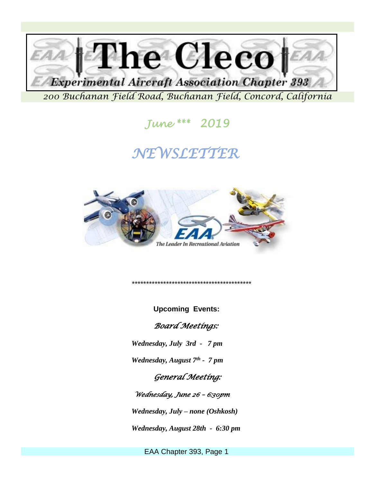

*June \*\*\* 2019*

# *NEWSLETTER*



*\*\*\*\*\*\*\*\*\*\*\*\*\*\*\*\*\*\*\*\*\*\*\*\*\*\*\*\*\*\*\*\*\*\*\*\*\*\*\*\*\*\**

**Upcoming Events:**

*Board Meetings:* 

*Wednesday, July 3rd - 7 pm*

*Wednesday, August 7th - 7 pm*

*General Meeting:* 

 *Wednesday, June 26 – 6:30pm* 

*Wednesday, July – none (Oshkosh)*

*Wednesday, August 28th - 6:30 pm*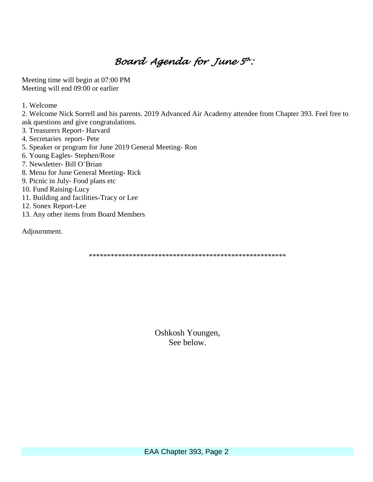### *Board Agenda for June 5 th :*

Meeting time will begin at 07:00 PM Meeting will end 09:00 or earlier

1. Welcome

2. Welcome Nick Sorrell and his parents. 2019 Advanced Air Academy attendee from Chapter 393. Feel free to ask questions and give congratulations.

- 3. Treasurers Report- Harvard
- 4. Secretaries report- Pete
- 5. Speaker or program for June 2019 General Meeting- Ron
- 6. Young Eagles- Stephen/Rose
- 7. Newsletter- Bill O'Brian
- 8. Menu for June General Meeting- Rick
- 9. Picnic in July- Food plans etc
- 10. Fund Raising-Lucy
- 11. Building and facilities-Tracy or Lee
- 12. Sonex Report-Lee
- 13. Any other items from Board Members

Adjournment.

\*\*\*\*\*\*\*\*\*\*\*\*\*\*\*\*\*\*\*\*\*\*\*\*\*\*\*\*\*\*\*\*\*\*\*\*\*\*\*\*\*\*\*\*\*\*\*\*\*\*\*\*\*\*

Oshkosh Youngen, See below.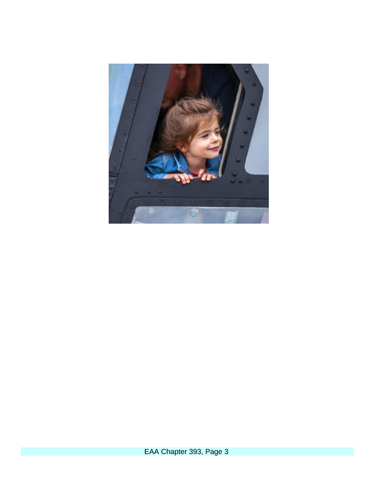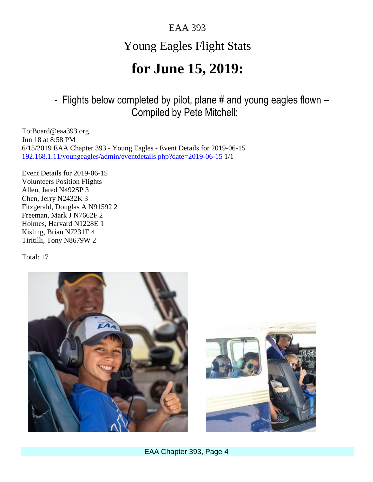#### EAA 393

Young Eagles Flight Stats

## **for June 15, 2019:**

- Flights below completed by pilot, plane # and young eagles flown -Compiled by Pete Mitchell:

To:Board@eaa393.org Jun 18 at 8:58 PM 6/15/2019 EAA Chapter 393 - Young Eagles - Event Details for 2019-06-15 [192.168.1.11/youngeagles/admin/eventdetails.php?date=2019-06-15](http://192.168.1.11/youngeagles/admin/eventdetails.php?date=2019-06-15) 1/1

Event Details for 2019-06-15 Volunteers Position Flights Allen, Jared N492SP 3 Chen, Jerry N2432K 3 Fitzgerald, Douglas A N91592 2 Freeman, Mark J N7662F 2 Holmes, Harvard N1228E 1 Kisling, Brian N7231E 4 Tiritilli, Tony N8679W 2

Total: 17



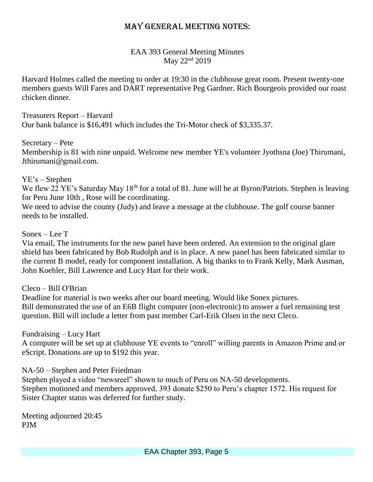#### May General Meeting Notes:

#### EAA 393 General Meeting Minutes May 22<sup>nd</sup> 2019

Harvard Holmes called the meeting to order at 19:30 in the clubhouse great room. Present twenty-one members guests Will Fares and DART representative Peg Gardner. Rich Bourgeois provided our roast chicken dinner.

Treasurers Report – Harvard Our bank balance is \$16,491 which includes the Tri-Motor check of \$3,335.37.

Secretary – Pete

Membership is 81 with nine unpaid. Welcome new member YE's volunteer Jyothsna (Joe) Thirumani, Jthirumani@gmail.com.

#### YE's – Stephen

We flew 22 YE's Saturday May 18<sup>th</sup> for a total of 81. June will be at Byron/Patriots. Stephen is leaving for Peru June 10th , Rose will be coordinating.

We need to advise the county (Judy) and leave a message at the clubhouse. The golf course banner needs to be installed.

#### Sonex – Lee T

Via email, The instruments for the new panel have been ordered. An extension to the original glare shield has been fabricated by Bob Rudolph and is in place. A new panel has been fabricated similar to the current B model, ready for component installation. A big thanks to to Frank Kelly, Mark Ausman, John Koehler, Bill Lawrence and Lucy Hart for their work.

#### Cleco – Bill O'Brian

Deadline for material is two weeks after our board meeting. Would like Sonex pictures. Bill demonstrated the use of an E6B flight computer (non-electronic) to answer a fuel remaining test question. Bill will include a letter from past member Carl-Erik Olsen in the next Cleco.

#### Fundraising – Lucy Hart

A computer will be set up at clubhouse YE events to "enroll" willing parents in Amazon Prime and or eScript. Donations are up to \$192 this year.

#### NA-50 – Stephen and Peter Friedman

Stephen played a video "newsreel" shown to much of Peru on NA-50 developments. Stephen motioned and members approved, 393 donate \$250 to Peru's chapter 1572. His request for Sister Chapter status was deferred for further study.

Meeting adjourned 20:45 PJM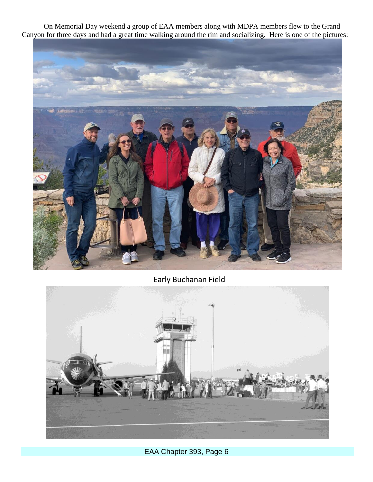On Memorial Day weekend a group of EAA members along with MDPA members flew to the Grand Canyon for three days and had a great time walking around the rim and socializing. Here is one of the pictures:



Early Buchanan Field

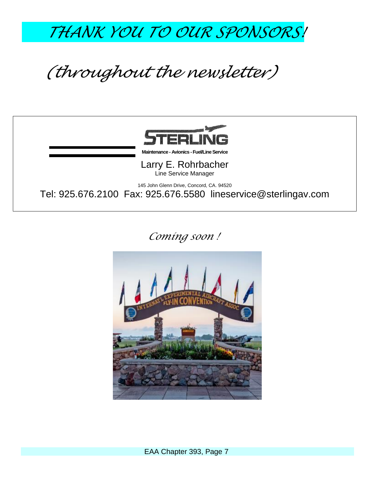

# *(throughout the newsletter)*



**Maintenance - Avionics -Fuel/Line Service**

Larry E. Rohrbacher Line Service Manager

145 John Glenn Drive, Concord, CA. 94520 Tel: 925.676.2100 Fax: 925.676.5580 lineservice@sterlingav.com

*Coming soon !*

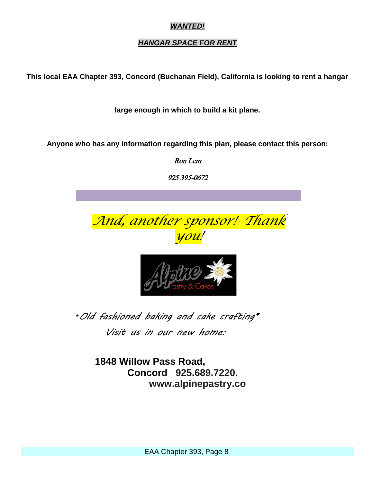#### *WANTED!*

#### *HANGAR SPACE FOR RENT*

**This local EAA Chapter 393, Concord (Buchanan Field), California is looking to rent a hangar** 

**large enough in which to build a kit plane.**

**Anyone who has any information regarding this plan, please contact this person:**

Ron Lem

925 395-0672





\**Old fashioned baking and cake crafting\* Visit us in our new home:*

> **1848 Willow Pass Road, Concord 925.689.7220. www.alpinepastry.co**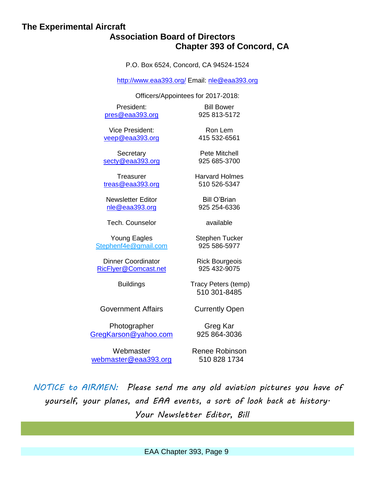#### **The Experimental Aircraft Association Board of Directors Chapter 393 of Concord, CA**

P.O. Box 6524, Concord, CA 94524-1524

<http://www.eaa393.org/> Email: [nle@eaa393.org](mailto:nle@eaa393.org)

Officers/Appointees for 2017-2018:

President: Bill Bower [pres@eaa393.org](mailto:pres@eaa393.org) 925 813-5172

Vice President: Ron Lem [veep@eaa393.org](mailto:veep@eaa393.org) 415 532-6561

[secty@eaa393.org](mailto:secty@eaa393.org) 925 685-3700

Secretary **Pete Mitchell** 

Treasurer **Harvard Holmes** [treas@eaa393.org](mailto:treas@eaa393.org) 510 526-5347

Newsletter Editor **Bill O'Brian** [nle@eaa393.org](mailto:nle@eaa393.org) 925 254-6336

Tech. Counselor **available** 

Young Eagles Stephen Tucker Stephenf4e@gmail.com 925 586-5977

Dinner Coordinator **Rick Bourgeois** [RicFlyer@Comcast.net](mailto:RicFlyer@Comcast.net) 925 432-9075

Government Affairs **Currently Open** 

Photographer Greg Kar [GregKarson@yahoo.com](mailto:GregKarson@yahoo.com) 925 864-3036

[webmaster@eaa393.org](mailto:webmaster@eaa393.org) 510 828 1734

Buildings Tracy Peters (temp) 510 301-8485

Webmaster Renee Robinson

*NOTICE to AIRMEN: Please send me any old aviation pictures you have of yourself, your planes, and EAA events, a sort of look back at history. Your Newsletter Editor, Bill*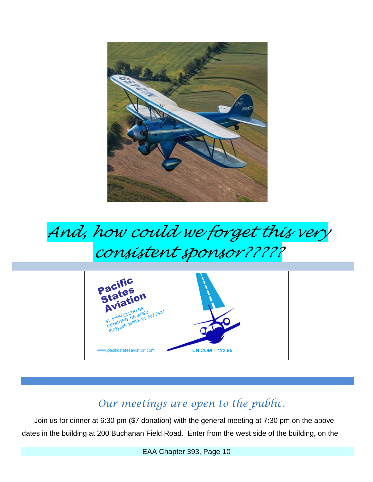

# *And, how could we forget this very consistent sponsor?????*



### *Our meetings are open to the public.*

 Join us for dinner at 6:30 pm (\$7 donation) with the general meeting at 7:30 pm on the above dates in the building at 200 Buchanan Field Road. Enter from the west side of the building, on the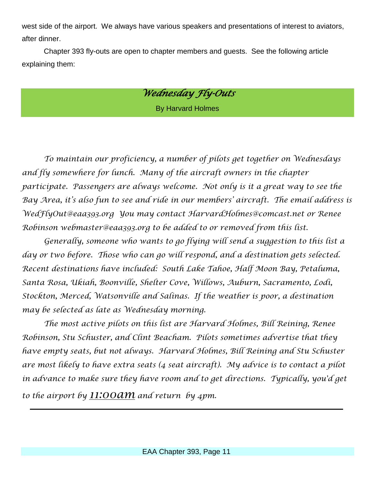west side of the airport. We always have various speakers and presentations of interest to aviators, after dinner.

 Chapter 393 fly-outs are open to chapter members and guests. See the following article explaining them:

*Wednesday Fly-Outs* 

By Harvard Holmes

*To maintain our proficiency, a number of pilots get together on Wednesdays and fly somewhere for lunch. Many of the aircraft owners in the chapter participate. Passengers are always welcome. Not only is it a great way to see the Bay Area, it's also fun to see and ride in our members' aircraft. The email address is WedFlyOut@eaa393.org You may contact HarvardHolmes@comcast.net or Renee Robinson webmaster@eaa393.org to be added to or removed from this list.* 

*Generally, someone who wants to go flying will send a suggestion to this list a day or two before. Those who can go will respond, and a destination gets selected. Recent destinations have included: South Lake Tahoe, Half Moon Bay, Petaluma, Santa Rosa, Ukiah, Boonville, Shelter Cove, Willows, Auburn, Sacramento, Lodi, Stockton, Merced, Watsonville and Salinas. If the weather is poor, a destination may be selected as late as Wednesday morning.* 

*The most active pilots on this list are Harvard Holmes, Bill Reining, Renee Robinson, Stu Schuster, and Clint Beacham. Pilots sometimes advertise that they have empty seats, but not always. Harvard Holmes, Bill Reining and Stu Schuster are most likely to have extra seats (4 seat aircraft). My advice is to contact a pilot in advance to make sure they have room and to get directions. Typically, you'd get to the airport by 11:00am and return by 4pm.*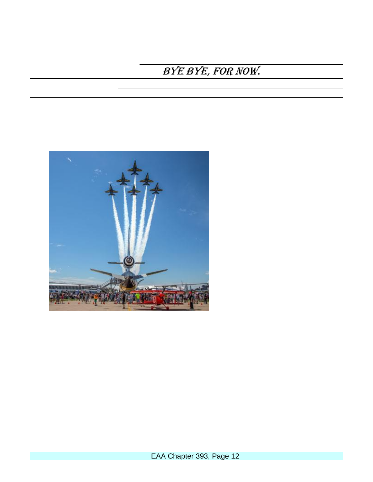## BYE BYE, FOR NOW.

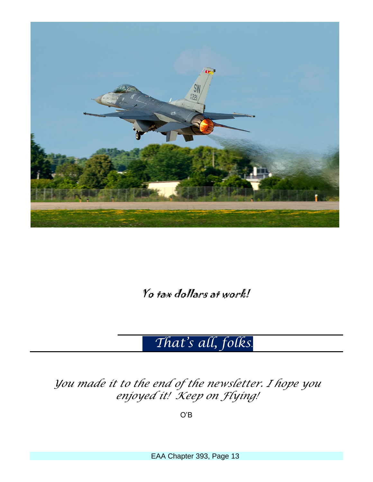

Yo tax dollars at work!

## *That's all, folks.*

*You made it to the end of the newsletter. I hope you enjoyed it! Keep on Flying!*

O'B